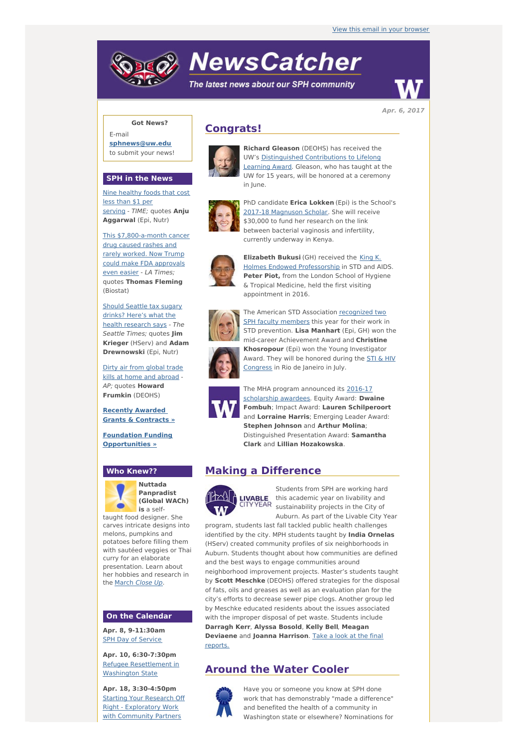# **NewsCatcher**

The latest news about our SPH community



**Apr. 6, 2017**

## **Got News?**

E-mail **[sphnews@uw.edu](mailto:sphnews@uw.edu)** to submit your news!

#### **SPH in the News**

Nine [healthy](http://engage.washington.edu/site/R?i=4hszbxYesfJ5NCKzxzrVJQ) foods that cost less than \$1 per serving - TIME; quotes **Anju Aggarwal** (Epi, Nutr)

This [\\$7,800-a-month](http://engage.washington.edu/site/R?i=fjT7xHEulXI2brSacXWRXA) cancer drug caused rashes and rarely worked. Now Trump could make FDA approvals even easier - LA Times; quotes **Thomas Fleming** (Biostat)

Should Seattle tax sugary drinks? Here's what the health [research](http://engage.washington.edu/site/R?i=7zeom7GCAVmN946HO_4COA) says - The Seattle Times; quotes **Jim Krieger** (HServ) and **Adam Drewnowski** (Epi, Nutr)

Dirty air from global trade kills at home and [abroad](http://engage.washington.edu/site/R?i=nI3xitSqt4MHPW0XCZy9PA) - AP; quotes **Howard Frumkin** (DEOHS)

**Recently Awarded Grants & [Contracts](http://engage.washington.edu/site/R?i=I35P7MiXSRwzDsVKgP1z7Q) »**

**Foundation Funding [Opportunities](http://engage.washington.edu/site/R?i=eIMtvx_9Jmox67gF79wc_w) »**

#### **Who Knew??**



**(Global WACh) is** a selftaught food designer. She carves intricate designs into melons, pumpkins and

potatoes before filling them with sautéed veggies or Thai curry for an elaborate presentation. Learn about her hobbies and research in the [March](http://engage.washington.edu/site/R?i=SjpJkl9m2nFlykXEtkev-A) Close Up.

#### **On the Calendar**

**Apr. 8, 9-11:30am SPH Day of [Service](http://engage.washington.edu/site/R?i=KPqcVdRMlDtOz7eqXG7qLg)** 

**Apr. 10, 6:30-7:30pm** Refugee [Resettlement](http://engage.washington.edu/site/R?i=eSmJLgWVQpEGNXL1fMiZFA) in Washington State

**Apr. 18, 3:30-4:50pm Starting Your Research Off** Right - Exploratory Work with [Community](http://engage.washington.edu/site/R?i=Nr3Z3DzkTl6cx7L0RS_1-A) Partners

## **Congrats!**



**Richard Gleason** (DEOHS) has received the UW's [Distinguished](http://engage.washington.edu/site/R?i=OYwx_9_m2rCytqX221Iq9g) Contributions to Lifelong Learning Award. Gleason, who has taught at the UW for 15 years, will be honored at a ceremony in June.



PhD candidate **Erica Lokken** (Epi) is the School's 2017-18 [Magnuson](http://engage.washington.edu/site/R?i=xen1u1cuVLZlHwJEim7rsA) Scholar. She will receive \$30,000 to fund her research on the link between bacterial vaginosis and infertility, currently underway in Kenya.



**Elizabeth Bukusi** (GH) received the King K. Holmes Endowed [Professorship](http://engage.washington.edu/site/R?i=WR_n1mC5cOkunnP-ONPHFg) in STD and AIDS. **Peter Piot,** from the London School of Hygiene & Tropical Medicine, held the first visiting appointment in 2016.



The American STD [Association](http://engage.washington.edu/site/R?i=SDJxPCAxdKBFDPfwEQ34DA) recognized two SPH faculty members this year for their work in STD prevention. **Lisa Manhart** (Epi, GH) won the mid-career Achievement Award and **Christine Khosropour** (Epi) won the Young Investigator Award. They will be honored during the **STI & HIV** [Congress](http://engage.washington.edu/site/R?i=SMBVLsyk2bzpbFE6g8-9mQ) in Rio de Janeiro in July.



The MHA program [announced](http://engage.washington.edu/site/R?i=GLnCvbb-pPTIjHGoFBoocg) its 2016-17 scholarship awardees. Equity Award: **Dwaine Fombuh**; Impact Award: **Lauren Schilperoort** and **Lorraine Harris**; Emerging Leader Award: **Stephen Johnson** and **Arthur Molina**; Distinguished Presentation Award: **Samantha Clark** and **Lillian Hozakowska**.

## **Making a Difference**



Students from SPH are working hard this academic year on livability and sustainability projects in the City of Auburn. As part of the Livable City Year

program, students last fall tackled public health challenges identified by the city. MPH students taught by **India Ornelas** (HServ) created community profiles of six neighborhoods in Auburn. Students thought about how communities are defined and the best ways to engage communities around neighborhood improvement projects. Master's students taught by **Scott Meschke** (DEOHS) offered strategies for the disposal of fats, oils and greases as well as an evaluation plan for the city's efforts to decrease sewer pipe clogs. Another group led by Meschke educated residents about the issues associated with the improper disposal of pet waste. Students include **Darragh Kerr**, **Alyssa Bosold**, **Kelly Bell**, **Meagan [Deviaene](http://engage.washington.edu/site/R?i=b5lDJ0wxXnqL3MCGpkJjrA)** and **Joanna Harrison**. Take a look at the final reports.

## **Around the Water Cooler**



Have you or someone you know at SPH done work that has demonstrably "made a difference" and benefited the health of a community in Washington state or elsewhere? Nominations for